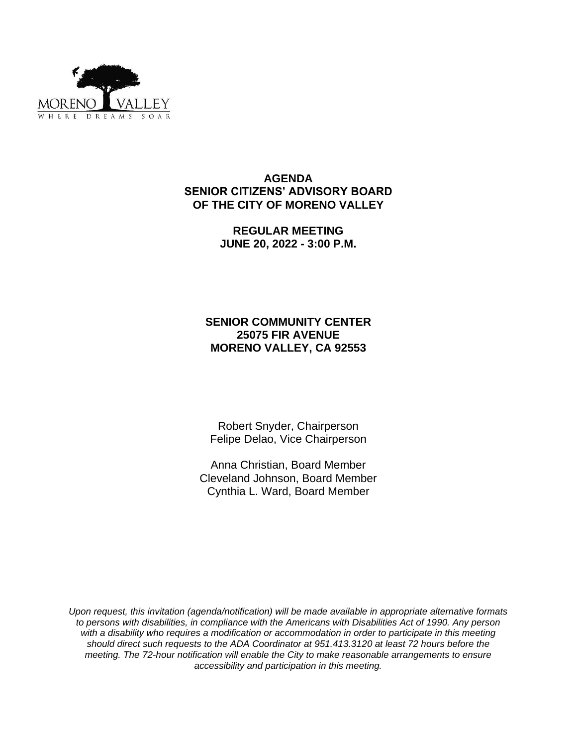

#### **AGENDA SENIOR CITIZENS' ADVISORY BOARD OF THE CITY OF MORENO VALLEY**

**REGULAR MEETING JUNE 20, 2022 - 3:00 P.M.**

# **SENIOR COMMUNITY CENTER 25075 FIR AVENUE MORENO VALLEY, CA 92553**

Robert Snyder, Chairperson Felipe Delao, Vice Chairperson

Anna Christian, Board Member Cleveland Johnson, Board Member Cynthia L. Ward, Board Member

*Upon request, this invitation (agenda/notification) will be made available in appropriate alternative formats to persons with disabilities, in compliance with the Americans with Disabilities Act of 1990. Any person*  with a disability who requires a modification or accommodation in order to participate in this meeting *should direct such requests to the ADA Coordinator at 951.413.3120 at least 72 hours before the meeting. The 72-hour notification will enable the City to make reasonable arrangements to ensure accessibility and participation in this meeting.*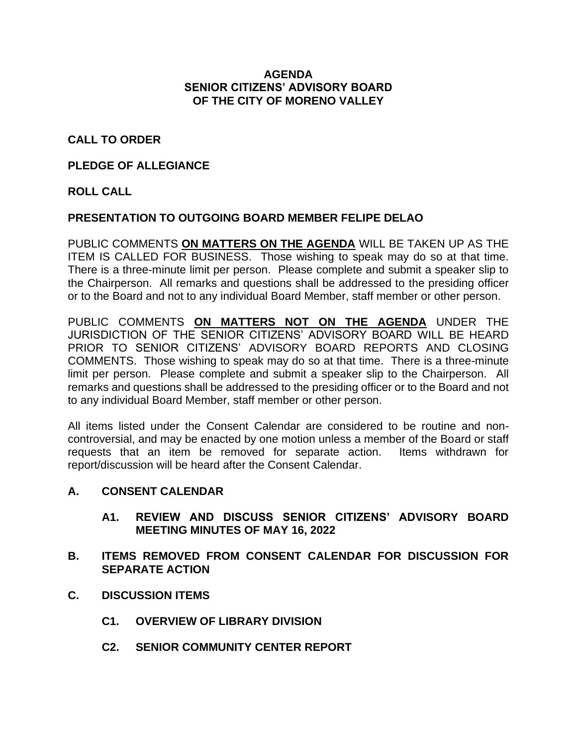#### **AGENDA SENIOR CITIZENS' ADVISORY BOARD OF THE CITY OF MORENO VALLEY**

# **CALL TO ORDER**

### **PLEDGE OF ALLEGIANCE**

# **ROLL CALL**

### **PRESENTATION TO OUTGOING BOARD MEMBER FELIPE DELAO**

PUBLIC COMMENTS **ON MATTERS ON THE AGENDA** WILL BE TAKEN UP AS THE ITEM IS CALLED FOR BUSINESS. Those wishing to speak may do so at that time. There is a three-minute limit per person. Please complete and submit a speaker slip to the Chairperson. All remarks and questions shall be addressed to the presiding officer or to the Board and not to any individual Board Member, staff member or other person.

PUBLIC COMMENTS **ON MATTERS NOT ON THE AGENDA** UNDER THE JURISDICTION OF THE SENIOR CITIZENS' ADVISORY BOARD WILL BE HEARD PRIOR TO SENIOR CITIZENS' ADVISORY BOARD REPORTS AND CLOSING COMMENTS. Those wishing to speak may do so at that time. There is a three-minute limit per person. Please complete and submit a speaker slip to the Chairperson. All remarks and questions shall be addressed to the presiding officer or to the Board and not to any individual Board Member, staff member or other person.

All items listed under the Consent Calendar are considered to be routine and noncontroversial, and may be enacted by one motion unless a member of the Board or staff requests that an item be removed for separate action. Items withdrawn for report/discussion will be heard after the Consent Calendar.

### **A. CONSENT CALENDAR**

**A1. REVIEW AND DISCUSS SENIOR CITIZENS' ADVISORY BOARD MEETING MINUTES OF MAY 16, 2022**

### **B. ITEMS REMOVED FROM CONSENT CALENDAR FOR DISCUSSION FOR SEPARATE ACTION**

- **C. DISCUSSION ITEMS**
	- **C1. OVERVIEW OF LIBRARY DIVISION**
	- **C2. SENIOR COMMUNITY CENTER REPORT**